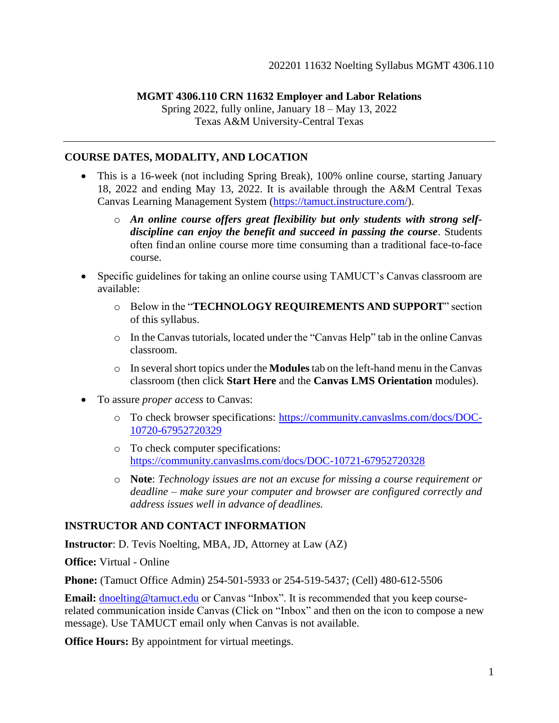## **MGMT 4306.110 CRN 11632 Employer and Labor Relations**

Spring 2022, fully online, January 18 – May 13, 2022 Texas A&M University-Central Texas

#### **COURSE DATES, MODALITY, AND LOCATION**

- This is a 16-week (not including Spring Break), 100% online course, starting January 18, 2022 and ending May 13, 2022. It is available through the A&M Central Texas Canvas Learning Management System [\(https://tamuct.instructure.com/](https://tamuct.instructure.com/)).
	- o *An online course offers great flexibility but only students with strong selfdiscipline can enjoy the benefit and succeed in passing the course*. Students often find an online course more time consuming than a traditional face-to-face course.
- Specific guidelines for taking an online course using TAMUCT's Canvas classroom are available:
	- o Below in the "**TECHNOLOGY REQUIREMENTS AND SUPPORT**" section of this syllabus.
	- o In the Canvas tutorials, located under the "Canvas Help" tab in the online Canvas classroom.
	- o In several short topics under the **Modules** tab on the left-hand menu in the Canvas classroom (then click **Start Here** and the **Canvas LMS Orientation** modules).
- To assure *proper access* to Canvas:
	- o To check browser specifications: [https://community.canvaslms.com/docs/DOC-](https://community.canvaslms.com/docs/DOC-10720-67952720329)[10720-67952720329](https://community.canvaslms.com/docs/DOC-10720-67952720329)
	- o To check computer specifications: <https://community.canvaslms.com/docs/DOC-10721-67952720328>
	- o **Note**: *Technology issues are not an excuse for missing a course requirement or deadline – make sure your computer and browser are configured correctly and address issues well in advance of deadlines.*

#### **INSTRUCTOR AND CONTACT INFORMATION**

**Instructor**: D. Tevis Noelting, MBA, JD, Attorney at Law (AZ)

**Office:** Virtual - Online

**Phone:** (Tamuct Office Admin) 254-501-5933 or 254-519-5437; (Cell) 480-612-5506

**Email:** [dnoelting@tamuct.edu](mailto:dnoelting@tamuct.edu) or Canvas "Inbox". It is recommended that you keep courserelated communication inside Canvas (Click on "Inbox" and then on the icon to compose a new message). Use TAMUCT email only when Canvas is not available.

**Office Hours:** By appointment for virtual meetings.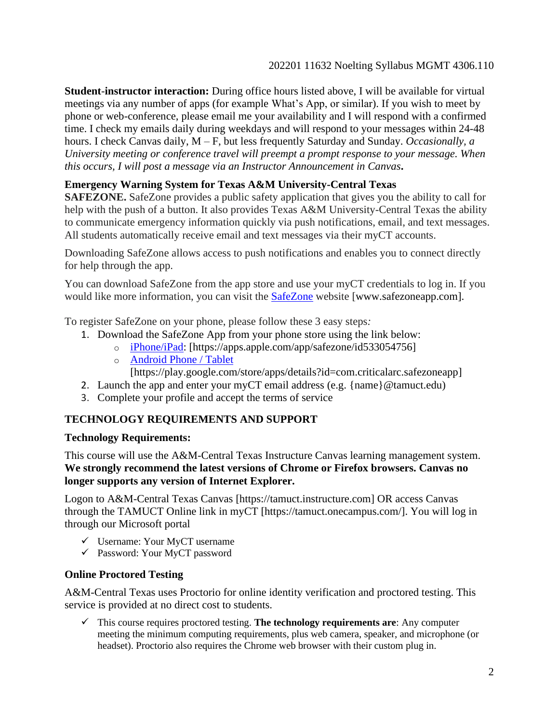**Student**-**instructor interaction:** During office hours listed above, I will be available for virtual meetings via any number of apps (for example What's App, or similar). If you wish to meet by phone or web-conference, please email me your availability and I will respond with a confirmed time. I check my emails daily during weekdays and will respond to your messages within 24-48 hours. I check Canvas daily, M – F, but less frequently Saturday and Sunday. *Occasionally, a University meeting or conference travel will preempt a prompt response to your message. When this occurs, I will post a message via an Instructor Announcement in Canvas***.**

## **Emergency Warning System for Texas A&M University-Central Texas**

**SAFEZONE.** SafeZone provides a public safety application that gives you the ability to call for help with the push of a button. It also provides Texas A&M University-Central Texas the ability to communicate emergency information quickly via push notifications, email, and text messages. All students automatically receive email and text messages via their myCT accounts.

Downloading SafeZone allows access to push notifications and enables you to connect directly for help through the app.

You can download SafeZone from the app store and use your myCT credentials to log in. If you would like more information, you can visit the [SafeZone](http://www.safezoneapp.com/) website [www.safezoneapp.com].

To register SafeZone on your phone, please follow these 3 easy steps*:*

- 1. Download the SafeZone App from your phone store using the link below:
	- o [iPhone/iPad:](https://apps.apple.com/app/safezone/id533054756) [https://apps.apple.com/app/safezone/id533054756]
	- o [Android Phone / Tablet](https://play.google.com/store/apps/details?id=com.criticalarc.safezoneapp) [https://play.google.com/store/apps/details?id=com.criticalarc.safezoneapp]
	-
- 2. Launch the app and enter your myCT email address (e.g. {name}@tamuct.edu)
- 3. Complete your profile and accept the terms of service

## **TECHNOLOGY REQUIREMENTS AND SUPPORT**

#### **Technology Requirements:**

This course will use the A&M-Central Texas Instructure Canvas learning management system. **We strongly recommend the latest versions of Chrome or Firefox browsers. Canvas no longer supports any version of Internet Explorer.** 

Logon to A&M-Central Texas Canvas [https://tamuct.instructure.com] OR access Canvas through the TAMUCT Online link in myCT [https://tamuct.onecampus.com/]. You will log in through our Microsoft portal

- ✓ Username: Your MyCT username
- ✓ Password: Your MyCT password

## **Online Proctored Testing**

A&M-Central Texas uses Proctorio for online identity verification and proctored testing. This service is provided at no direct cost to students.

✓ This course requires proctored testing. **The technology requirements are**: Any computer meeting the minimum computing requirements, plus web camera, speaker, and microphone (or headset). Proctorio also requires the Chrome web browser with their custom plug in.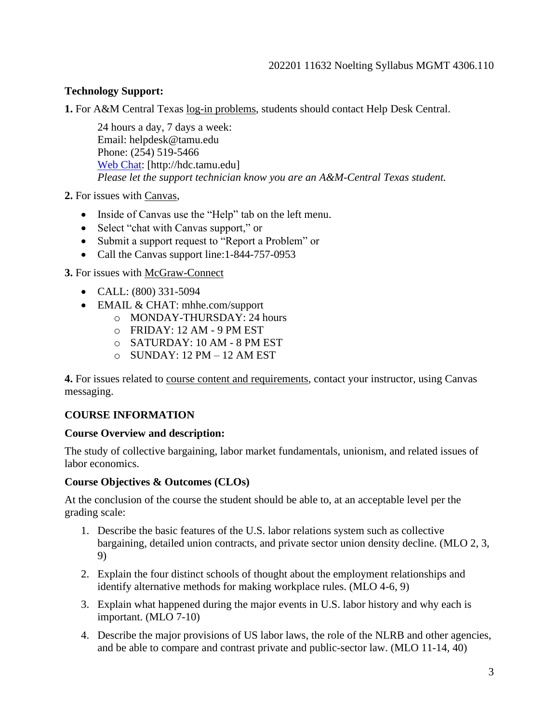## **Technology Support:**

**1.** For A&M Central Texas log-in problems, students should contact Help Desk Central.

24 hours a day, 7 days a week: Email: helpdesk@tamu.edu Phone: (254) 519-5466 [Web Chat:](http://hdc.tamu.edu/) [http://hdc.tamu.edu] *Please let the support technician know you are an A&M-Central Texas student.*

**2.** For issues with Canvas,

- Inside of Canvas use the "Help" tab on the left menu.
- Select "chat with Canvas support," or
- Submit a support request to "Report a Problem" or
- Call the Canvas support line:1-844-757-0953

**3.** For issues with McGraw-Connect

- CALL: (800) 331-5094
- EMAIL & CHAT: mhhe.com/support
	- o MONDAY-THURSDAY: 24 hours
	- o FRIDAY: 12 AM 9 PM EST
	- o SATURDAY: 10 AM 8 PM EST
	- $\circ$  SUNDAY: 12 PM 12 AM EST

**4.** For issues related to course content and requirements, contact your instructor, using Canvas messaging.

#### **COURSE INFORMATION**

#### **Course Overview and description:**

The study of collective bargaining, labor market fundamentals, unionism, and related issues of labor economics.

#### **Course Objectives & Outcomes (CLOs)**

At the conclusion of the course the student should be able to, at an acceptable level per the grading scale:

- 1. Describe the basic features of the U.S. labor relations system such as collective bargaining, detailed union contracts, and private sector union density decline. (MLO 2, 3, 9)
- 2. Explain the four distinct schools of thought about the employment relationships and identify alternative methods for making workplace rules. (MLO 4-6, 9)
- 3. Explain what happened during the major events in U.S. labor history and why each is important. (MLO 7-10)
- 4. Describe the major provisions of US labor laws, the role of the NLRB and other agencies, and be able to compare and contrast private and public-sector law. (MLO 11-14, 40)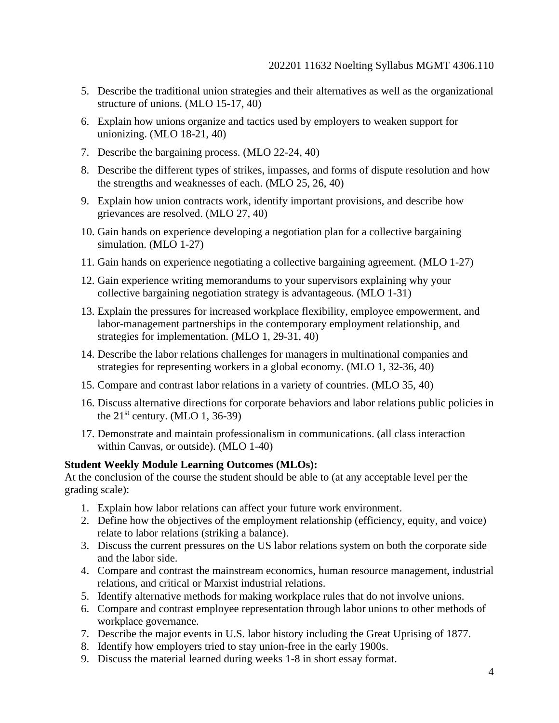- 5. Describe the traditional union strategies and their alternatives as well as the organizational structure of unions. (MLO 15-17, 40)
- 6. Explain how unions organize and tactics used by employers to weaken support for unionizing. (MLO 18-21, 40)
- 7. Describe the bargaining process. (MLO 22-24, 40)
- 8. Describe the different types of strikes, impasses, and forms of dispute resolution and how the strengths and weaknesses of each. (MLO 25, 26, 40)
- 9. Explain how union contracts work, identify important provisions, and describe how grievances are resolved. (MLO 27, 40)
- 10. Gain hands on experience developing a negotiation plan for a collective bargaining simulation. (MLO 1-27)
- 11. Gain hands on experience negotiating a collective bargaining agreement. (MLO 1-27)
- 12. Gain experience writing memorandums to your supervisors explaining why your collective bargaining negotiation strategy is advantageous. (MLO 1-31)
- 13. Explain the pressures for increased workplace flexibility, employee empowerment, and labor-management partnerships in the contemporary employment relationship, and strategies for implementation. (MLO 1, 29-31, 40)
- 14. Describe the labor relations challenges for managers in multinational companies and strategies for representing workers in a global economy. (MLO 1, 32-36, 40)
- 15. Compare and contrast labor relations in a variety of countries. (MLO 35, 40)
- 16. Discuss alternative directions for corporate behaviors and labor relations public policies in the  $21<sup>st</sup>$  century. (MLO 1, 36-39)
- 17. Demonstrate and maintain professionalism in communications. (all class interaction within Canvas, or outside). (MLO 1-40)

### **Student Weekly Module Learning Outcomes (MLOs):**

At the conclusion of the course the student should be able to (at any acceptable level per the grading scale):

- 1. Explain how labor relations can affect your future work environment.
- 2. Define how the objectives of the employment relationship (efficiency, equity, and voice) relate to labor relations (striking a balance).
- 3. Discuss the current pressures on the US labor relations system on both the corporate side and the labor side.
- 4. Compare and contrast the mainstream economics, human resource management, industrial relations, and critical or Marxist industrial relations.
- 5. Identify alternative methods for making workplace rules that do not involve unions.
- 6. Compare and contrast employee representation through labor unions to other methods of workplace governance.
- 7. Describe the major events in U.S. labor history including the Great Uprising of 1877.
- 8. Identify how employers tried to stay union-free in the early 1900s.
- 9. Discuss the material learned during weeks 1-8 in short essay format.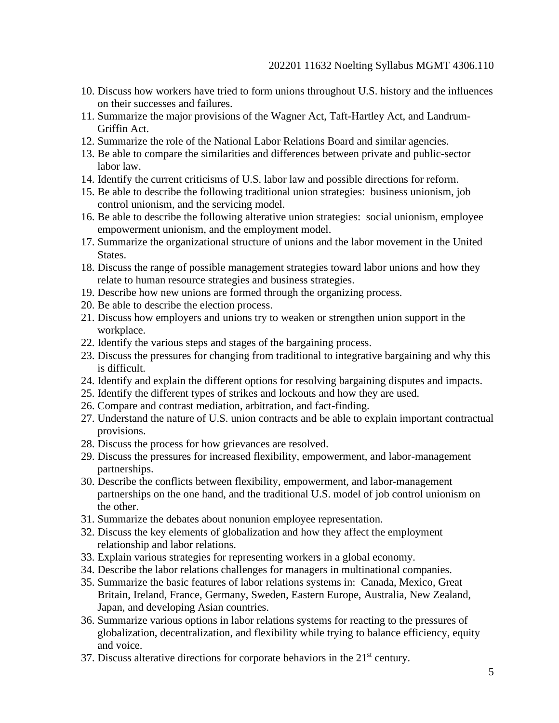- 10. Discuss how workers have tried to form unions throughout U.S. history and the influences on their successes and failures.
- 11. Summarize the major provisions of the Wagner Act, Taft-Hartley Act, and Landrum-Griffin Act.
- 12. Summarize the role of the National Labor Relations Board and similar agencies.
- 13. Be able to compare the similarities and differences between private and public-sector labor law.
- 14. Identify the current criticisms of U.S. labor law and possible directions for reform.
- 15. Be able to describe the following traditional union strategies: business unionism, job control unionism, and the servicing model.
- 16. Be able to describe the following alterative union strategies: social unionism, employee empowerment unionism, and the employment model.
- 17. Summarize the organizational structure of unions and the labor movement in the United States.
- 18. Discuss the range of possible management strategies toward labor unions and how they relate to human resource strategies and business strategies.
- 19. Describe how new unions are formed through the organizing process.
- 20. Be able to describe the election process.
- 21. Discuss how employers and unions try to weaken or strengthen union support in the workplace.
- 22. Identify the various steps and stages of the bargaining process.
- 23. Discuss the pressures for changing from traditional to integrative bargaining and why this is difficult.
- 24. Identify and explain the different options for resolving bargaining disputes and impacts.
- 25. Identify the different types of strikes and lockouts and how they are used.
- 26. Compare and contrast mediation, arbitration, and fact-finding.
- 27. Understand the nature of U.S. union contracts and be able to explain important contractual provisions.
- 28. Discuss the process for how grievances are resolved.
- 29. Discuss the pressures for increased flexibility, empowerment, and labor-management partnerships.
- 30. Describe the conflicts between flexibility, empowerment, and labor-management partnerships on the one hand, and the traditional U.S. model of job control unionism on the other.
- 31. Summarize the debates about nonunion employee representation.
- 32. Discuss the key elements of globalization and how they affect the employment relationship and labor relations.
- 33. Explain various strategies for representing workers in a global economy.
- 34. Describe the labor relations challenges for managers in multinational companies.
- 35. Summarize the basic features of labor relations systems in: Canada, Mexico, Great Britain, Ireland, France, Germany, Sweden, Eastern Europe, Australia, New Zealand, Japan, and developing Asian countries.
- 36. Summarize various options in labor relations systems for reacting to the pressures of globalization, decentralization, and flexibility while trying to balance efficiency, equity and voice.
- 37. Discuss alterative directions for corporate behaviors in the  $21<sup>st</sup>$  century.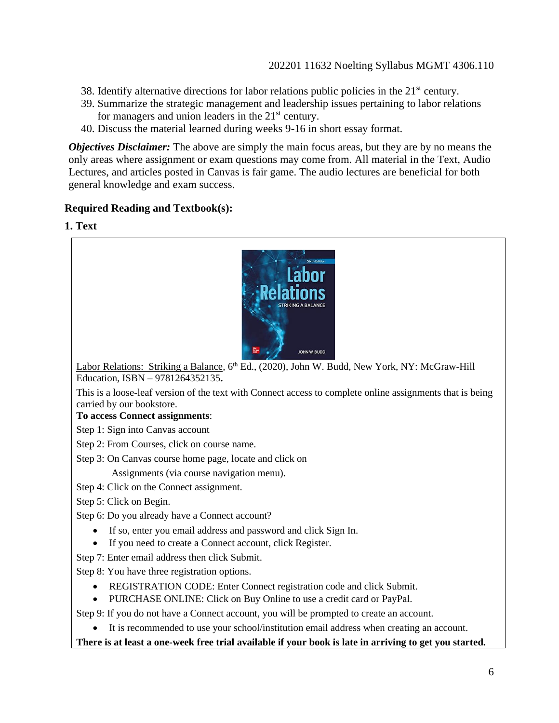- 38. Identify alternative directions for labor relations public policies in the  $21<sup>st</sup>$  century.
- 39. Summarize the strategic management and leadership issues pertaining to labor relations for managers and union leaders in the  $21<sup>st</sup>$  century.
- 40. Discuss the material learned during weeks 9-16 in short essay format.

*Objectives Disclaimer:* The above are simply the main focus areas, but they are by no means the only areas where assignment or exam questions may come from. All material in the Text, Audio Lectures, and articles posted in Canvas is fair game. The audio lectures are beneficial for both general knowledge and exam success.

## **Required Reading and Textbook(s):**

**1. Text**



Labor Relations: Striking a Balance, 6<sup>th</sup> Ed., (2020), John W. Budd, New York, NY: McGraw-Hill Education, ISBN – 9781264352135**.**

This is a loose-leaf version of the text with Connect access to complete online assignments that is being carried by our bookstore.

#### **To access Connect assignments**:

Step 1: Sign into Canvas account

Step 2: From Courses, click on course name.

Step 3: On Canvas course home page, locate and click on

Assignments (via course navigation menu).

Step 4: Click on the Connect assignment.

Step 5: Click on Begin.

Step 6: Do you already have a Connect account?

- If so, enter you email address and password and click Sign In.
- If you need to create a Connect account, click Register.
- Step 7: Enter email address then click Submit.
- Step 8: You have three registration options.
	- REGISTRATION CODE: Enter Connect registration code and click Submit.
	- PURCHASE ONLINE: Click on Buy Online to use a credit card or PayPal.

Step 9: If you do not have a Connect account, you will be prompted to create an account.

• It is recommended to use your school/institution email address when creating an account.

#### **There is at least a one-week free trial available if your book is late in arriving to get you started.**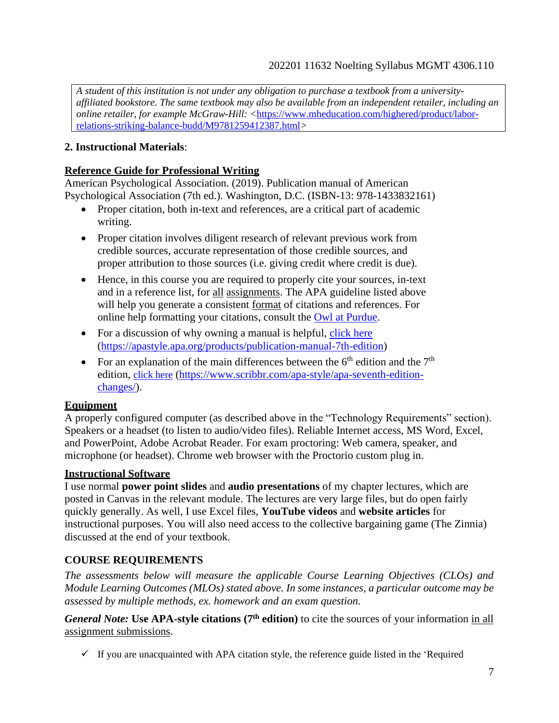*A student of this institution is not under any obligation to purchase a textbook from a universityaffiliated bookstore. The same textbook may also be available from an independent retailer, including an online retailer, for example McGraw-Hill:* <[https://www.mheducation.com/highered/product/labor](https://www.mheducation.com/highered/product/labor-relations-striking-balance-budd/M9781259412387.html)[relations-striking-balance-budd/M9781259412387.html](https://www.mheducation.com/highered/product/labor-relations-striking-balance-budd/M9781259412387.html)*>*

## **2. Instructional Materials**:

#### **Reference Guide for Professional Writing**

American Psychological Association. (2019). Publication manual of American Psychological Association (7th ed.). Washington, D.C. (ISBN-13: 978-1433832161)

- Proper citation, both in-text and references, are a critical part of academic writing.
- Proper citation involves diligent research of relevant previous work from credible sources, accurate representation of those credible sources, and proper attribution to those sources (i.e. giving credit where credit is due).
- Hence, in this course you are required to properly cite your sources, in-text and in a reference list, for all assignments. The APA guideline listed above will help you generate a consistent format of citations and references. For online help formatting your citations, consult the [Owl at Purdue.](https://owl.english.purdue.edu/owl/resource/560/01/)
- For a discussion of why owning a manual is helpful, [click here](https://apastyle.apa.org/products/publication-manual-7th-edition) [\(https://apastyle.apa.org/products/publication-manual-7th-edition\)](https://apastyle.apa.org/products/publication-manual-7th-edition)
- For an explanation of the main differences between the  $6<sup>th</sup>$  edition and the  $7<sup>th</sup>$ edition, [click here](https://www.scribbr.com/apa-style/apa-seventh-edition-changes/) [\(https://www.scribbr.com/apa-style/apa-seventh-edition](https://www.scribbr.com/apa-style/apa-seventh-edition-changes/)[changes/\)](https://www.scribbr.com/apa-style/apa-seventh-edition-changes/).

#### **Equipment**

A properly configured computer (as described above in the "Technology Requirements" section). Speakers or a headset (to listen to audio/video files). Reliable Internet access, MS Word, Excel, and PowerPoint, Adobe Acrobat Reader. For exam proctoring: Web camera, speaker, and microphone (or headset). Chrome web browser with the Proctorio custom plug in.

#### **Instructional Software**

I use normal **power point slides** and **audio presentations** of my chapter lectures, which are posted in Canvas in the relevant module. The lectures are very large files, but do open fairly quickly generally. As well, I use Excel files, **YouTube videos** and **website articles** for instructional purposes. You will also need access to the collective bargaining game (The Zinnia) discussed at the end of your textbook.

## **COURSE REQUIREMENTS**

*The assessments below will measure the applicable Course Learning Objectives (CLOs) and Module Learning Outcomes (MLOs) stated above. In some instances, a particular outcome may be assessed by multiple methods, ex. homework and an exam question.*

*General Note:* **Use APA-style citations (7th edition)** to cite the sources of your information in all assignment submissions.

 $\checkmark$  If you are unacquainted with APA citation style, the reference guide listed in the 'Required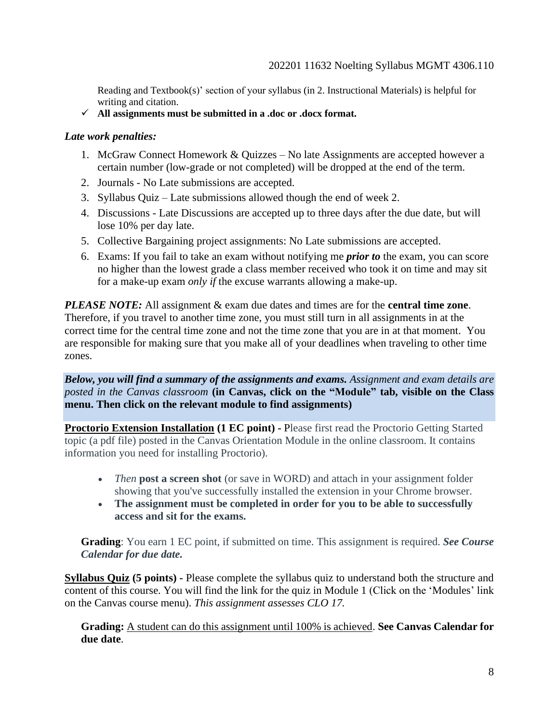Reading and Textbook(s)' section of your syllabus (in 2. Instructional Materials) is helpful for writing and citation.

✓ **All assignments must be submitted in a .doc or .docx format.**

#### *Late work penalties:*

- 1. McGraw Connect Homework & Quizzes No late Assignments are accepted however a certain number (low-grade or not completed) will be dropped at the end of the term.
- 2. Journals No Late submissions are accepted.
- 3. Syllabus Quiz Late submissions allowed though the end of week 2.
- 4. Discussions Late Discussions are accepted up to three days after the due date, but will lose 10% per day late.
- 5. Collective Bargaining project assignments: No Late submissions are accepted.
- 6. Exams: If you fail to take an exam without notifying me *prior to* the exam, you can score no higher than the lowest grade a class member received who took it on time and may sit for a make-up exam *only if* the excuse warrants allowing a make-up.

*PLEASE NOTE:* All assignment & exam due dates and times are for the **central time zone**. Therefore, if you travel to another time zone, you must still turn in all assignments in at the correct time for the central time zone and not the time zone that you are in at that moment. You are responsible for making sure that you make all of your deadlines when traveling to other time zones.

#### *Below, you will find a summary of the assignments and exams. Assignment and exam details are posted in the Canvas classroom* **(in Canvas, click on the "Module" tab, visible on the Class menu. Then click on the relevant module to find assignments)**

**Proctorio Extension Installation (1 EC point) -** Please first read the Proctorio Getting Started topic (a pdf file) posted in the Canvas Orientation Module in the online classroom. It contains information you need for installing Proctorio).

- *Then* **post a screen shot** (or save in WORD) and attach in your assignment folder showing that you've successfully installed the extension in your Chrome browser.
- **The assignment must be completed in order for you to be able to successfully access and sit for the exams.**

**Grading**: You earn 1 EC point, if submitted on time. This assignment is required. *See Course Calendar for due date.*

**Syllabus Quiz (5 points) -** Please complete the syllabus quiz to understand both the structure and content of this course. You will find the link for the quiz in Module 1 (Click on the 'Modules' link on the Canvas course menu). *This assignment assesses CLO 17.* 

**Grading:** A student can do this assignment until 100% is achieved. **See Canvas Calendar for due date**.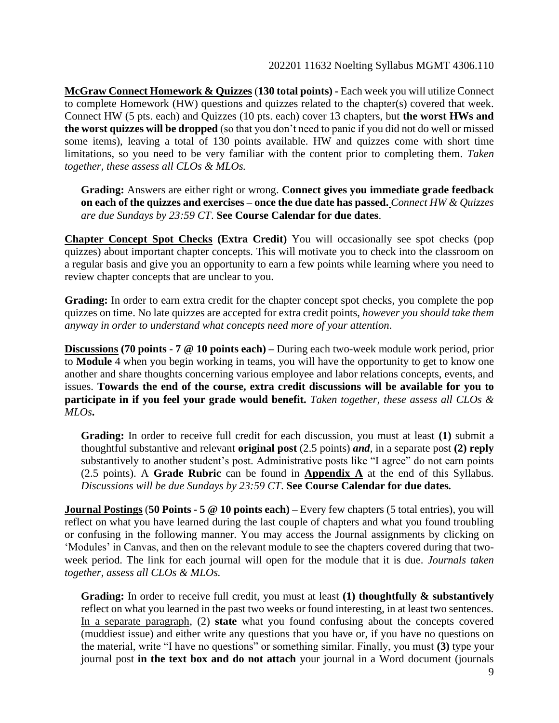**McGraw Connect Homework & Quizzes** (**130 total points) -** Each week you will utilize Connect to complete Homework (HW) questions and quizzes related to the chapter(s) covered that week. Connect HW (5 pts. each) and Quizzes (10 pts. each) cover 13 chapters, but **the worst HWs and the worst quizzes will be dropped** (so that you don't need to panic if you did not do well or missed some items), leaving a total of 130 points available. HW and quizzes come with short time limitations, so you need to be very familiar with the content prior to completing them. *Taken together, these assess all CLOs & MLOs.*

**Grading:** Answers are either right or wrong. **Connect gives you immediate grade feedback on each of the quizzes and exercises – once the due date has passed.** *Connect HW & Quizzes are due Sundays by 23:59 CT*. **See Course Calendar for due dates**.

**Chapter Concept Spot Checks (Extra Credit)** You will occasionally see spot checks (pop quizzes) about important chapter concepts. This will motivate you to check into the classroom on a regular basis and give you an opportunity to earn a few points while learning where you need to review chapter concepts that are unclear to you.

**Grading:** In order to earn extra credit for the chapter concept spot checks, you complete the pop quizzes on time. No late quizzes are accepted for extra credit points, *however you should take them anyway in order to understand what concepts need more of your attention*.

**Discussions (70 points - 7 @ 10 points each) –** During each two-week module work period, prior to **Module** 4 when you begin working in teams, you will have the opportunity to get to know one another and share thoughts concerning various employee and labor relations concepts, events, and issues. **Towards the end of the course, extra credit discussions will be available for you to participate in if you feel your grade would benefit.** *Taken together, these assess all CLOs & MLOs***.**

**Grading:** In order to receive full credit for each discussion, you must at least **(1)** submit a thoughtful substantive and relevant **original post** (2.5 points) *and,* in a separate post **(2) reply** substantively to another student's post. Administrative posts like "I agree" do not earn points (2.5 points). A **Grade Rubric** can be found in **Appendix A** at the end of this Syllabus. *Discussions will be due Sundays by 23:59 CT*. **See Course Calendar for due dates***.*

**Journal Postings** (**50 Points - 5 @ 10 points each) –** Every few chapters (5 total entries), you will reflect on what you have learned during the last couple of chapters and what you found troubling or confusing in the following manner. You may access the Journal assignments by clicking on 'Modules' in Canvas, and then on the relevant module to see the chapters covered during that twoweek period. The link for each journal will open for the module that it is due. *Journals taken together, assess all CLOs & MLOs.*

**Grading:** In order to receive full credit, you must at least **(1) thoughtfully & substantively**  reflect on what you learned in the past two weeks or found interesting, in at least two sentences. In a separate paragraph, (2) **state** what you found confusing about the concepts covered (muddiest issue) and either write any questions that you have or, if you have no questions on the material, write "I have no questions" or something similar. Finally, you must **(3)** type your journal post **in the text box and do not attach** your journal in a Word document (journals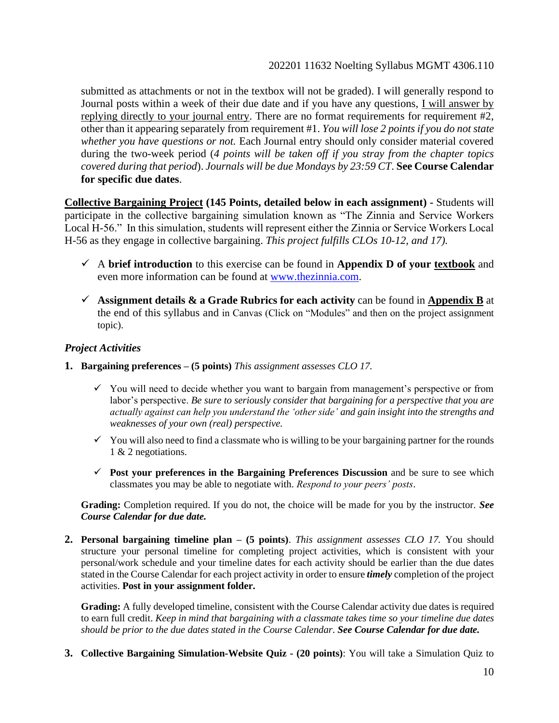submitted as attachments or not in the textbox will not be graded). I will generally respond to Journal posts within a week of their due date and if you have any questions, I will answer by replying directly to your journal entry. There are no format requirements for requirement #2, other than it appearing separately from requirement #1. *You will lose 2 points if you do not state whether you have questions or not.* Each Journal entry should only consider material covered during the two-week period (*4 points will be taken off if you stray from the chapter topics covered during that period*). *Journals will be due Mondays by 23:59 CT*. **See Course Calendar for specific due dates**.

**Collective Bargaining Project (145 Points, detailed below in each assignment) -** Students will participate in the collective bargaining simulation known as "The Zinnia and Service Workers Local H-56." In this simulation, students will represent either the Zinnia or Service Workers Local H-56 as they engage in collective bargaining. *This project fulfills CLOs 10-12, and 17).*

- ✓ A **brief introduction** to this exercise can be found in **Appendix D of your textbook** and even more information can be found at [www.thezinnia.com.](http://www.thezinnia.com/)
- $\checkmark$  Assignment details  $\&$  a Grade Rubrics for each activity can be found in Appendix B at the end of this syllabus and in Canvas (Click on "Modules" and then on the project assignment topic).

## *Project Activities*

- **1. Bargaining preferences – (5 points)** *This assignment assesses CLO 17.*
	- $\checkmark$  You will need to decide whether you want to bargain from management's perspective or from labor's perspective. *Be sure to seriously consider that bargaining for a perspective that you are actually against can help you understand the 'other side' and gain insight into the strengths and weaknesses of your own (real) perspective.*
	- $\checkmark$  You will also need to find a classmate who is willing to be your bargaining partner for the rounds 1 & 2 negotiations.
	- ✓ **Post your preferences in the Bargaining Preferences Discussion** and be sure to see which classmates you may be able to negotiate with. *Respond to your peers' posts*.

**Grading:** Completion required. If you do not, the choice will be made for you by the instructor. *See Course Calendar for due date.*

**2. Personal bargaining timeline plan – (5 points)**. *This assignment assesses CLO 17.* You should structure your personal timeline for completing project activities, which is consistent with your personal/work schedule and your timeline dates for each activity should be earlier than the due dates stated in the Course Calendar for each project activity in order to ensure *timely* completion of the project activities. **Post in your assignment folder.**

**Grading:** A fully developed timeline, consistent with the Course Calendar activity due dates is required to earn full credit. *Keep in mind that bargaining with a classmate takes time so your timeline due dates should be prior to the due dates stated in the Course Calendar*. *See Course Calendar for due date.*

**3. Collective Bargaining Simulation-Website Quiz - (20 points)**: You will take a Simulation Quiz to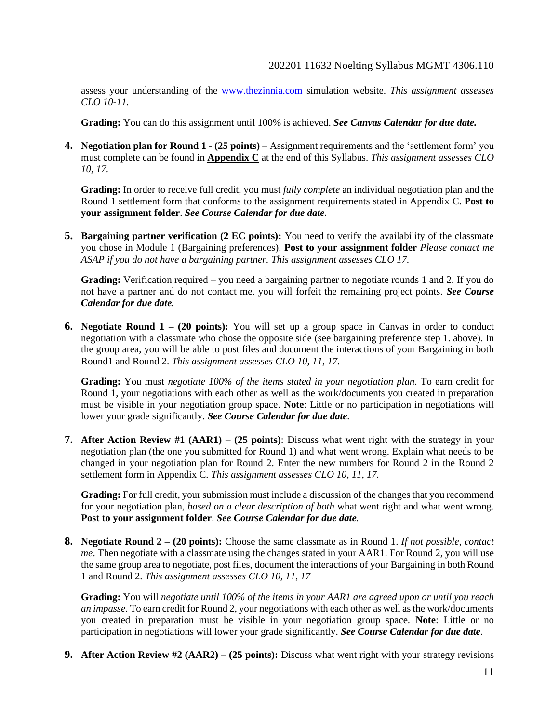assess your understanding of the [www.thezinnia.com](http://www.thezinnia.com/) simulation website. *This assignment assesses CLO 10-11.* 

**Grading:** You can do this assignment until 100% is achieved. *See Canvas Calendar for due date.*

**4. Negotiation plan for Round 1 - (25 points) –** Assignment requirements and the 'settlement form' you must complete can be found in **Appendix C** at the end of this Syllabus. *This assignment assesses CLO 10, 17.*

**Grading:** In order to receive full credit, you must *fully complete* an individual negotiation plan and the Round 1 settlement form that conforms to the assignment requirements stated in Appendix C. **Post to your assignment folder**. *See Course Calendar for due date.*

**5. Bargaining partner verification (2 EC points):** You need to verify the availability of the classmate you chose in Module 1 (Bargaining preferences). **Post to your assignment folder** *Please contact me ASAP if you do not have a bargaining partner. This assignment assesses CLO 17.*

**Grading:** Verification required – you need a bargaining partner to negotiate rounds 1 and 2. If you do not have a partner and do not contact me, you will forfeit the remaining project points. *See Course Calendar for due date.*

**6. Negotiate Round 1 – (20 points):** You will set up a group space in Canvas in order to conduct negotiation with a classmate who chose the opposite side (see bargaining preference step 1. above). In the group area, you will be able to post files and document the interactions of your Bargaining in both Round1 and Round 2. *This assignment assesses CLO 10, 11, 17.*

**Grading:** You must *negotiate 100% of the items stated in your negotiation plan*. To earn credit for Round 1, your negotiations with each other as well as the work/documents you created in preparation must be visible in your negotiation group space. **Note**: Little or no participation in negotiations will lower your grade significantly. *See Course Calendar for due date.*

**7. After Action Review #1 (AAR1) – (25 points)**: Discuss what went right with the strategy in your negotiation plan (the one you submitted for Round 1) and what went wrong. Explain what needs to be changed in your negotiation plan for Round 2. Enter the new numbers for Round 2 in the Round 2 settlement form in Appendix C. *This assignment assesses CLO 10, 11, 17.*

**Grading:** For full credit, your submission must include a discussion of the changes that you recommend for your negotiation plan, *based on a clear description of both* what went right and what went wrong. **Post to your assignment folder**. *See Course Calendar for due date.*

**8. Negotiate Round 2 – (20 points):** Choose the same classmate as in Round 1. *If not possible, contact me*. Then negotiate with a classmate using the changes stated in your AAR1. For Round 2, you will use the same group area to negotiate, post files, document the interactions of your Bargaining in both Round 1 and Round 2. *This assignment assesses CLO 10, 11, 17*

**Grading:** You will *negotiate until 100% of the items in your AAR1 are agreed upon or until you reach an impasse*. To earn credit for Round 2, your negotiations with each other as well as the work/documents you created in preparation must be visible in your negotiation group space. **Note**: Little or no participation in negotiations will lower your grade significantly. *See Course Calendar for due date*.

**9. After Action Review #2 (AAR2) – (25 points):** Discuss what went right with your strategy revisions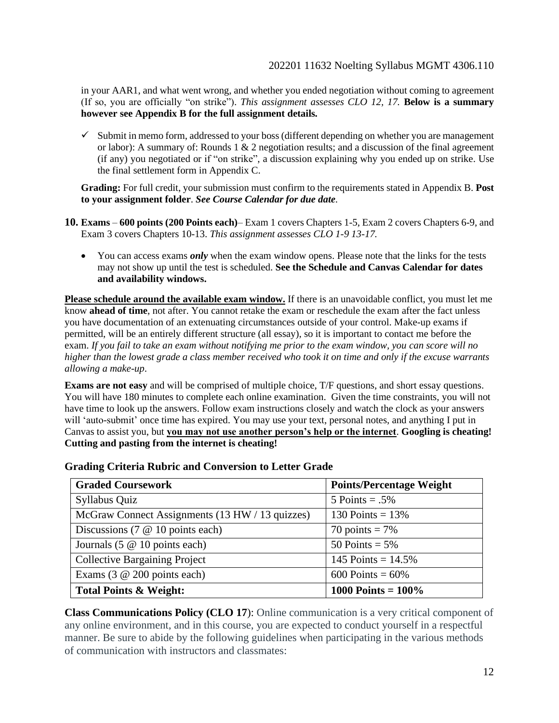in your AAR1, and what went wrong, and whether you ended negotiation without coming to agreement (If so, you are officially "on strike"). *This assignment assesses CLO 12, 17.* **Below is a summary however see Appendix B for the full assignment details***.*

 $\checkmark$  Submit in memo form, addressed to your boss (different depending on whether you are management or labor): A summary of: Rounds 1 & 2 negotiation results; and a discussion of the final agreement (if any) you negotiated or if "on strike", a discussion explaining why you ended up on strike. Use the final settlement form in Appendix C.

**Grading:** For full credit, your submission must confirm to the requirements stated in Appendix B. **Post to your assignment folder**. *See Course Calendar for due date.*

- **10. Exams 600 points (200 Points each)** Exam 1 covers Chapters 1-5, Exam 2 covers Chapters 6-9, and Exam 3 covers Chapters 10-13. *This assignment assesses CLO 1-9 13-17.*
	- You can access exams *only* when the exam window opens. Please note that the links for the tests may not show up until the test is scheduled. **See the Schedule and Canvas Calendar for dates and availability windows.**

**Please schedule around the available exam window.** If there is an unavoidable conflict, you must let me know **ahead of time**, not after. You cannot retake the exam or reschedule the exam after the fact unless you have documentation of an extenuating circumstances outside of your control. Make-up exams if permitted, will be an entirely different structure (all essay), so it is important to contact me before the exam. *If you fail to take an exam without notifying me prior to the exam window, you can score will no higher than the lowest grade a class member received who took it on time and only if the excuse warrants allowing a make-up*.

**Exams are not easy** and will be comprised of multiple choice, T/F questions, and short essay questions. You will have 180 minutes to complete each online examination. Given the time constraints, you will not have time to look up the answers. Follow exam instructions closely and watch the clock as your answers will 'auto-submit' once time has expired. You may use your text, personal notes, and anything I put in Canvas to assist you, but **you may not use another person's help or the internet**. **Googling is cheating! Cutting and pasting from the internet is cheating!**

| <b>Graded Coursework</b>                        | <b>Points/Percentage Weight</b> |
|-------------------------------------------------|---------------------------------|
| Syllabus Quiz                                   | $5$ Points = .5%                |
| McGraw Connect Assignments (13 HW / 13 quizzes) | 130 Points = $13%$              |
| Discussions (7 $@$ 10 points each)              | 70 points = $7\%$               |
| Journals $(5 \t@ 10 \t points each)$            | 50 Points = $5\%$               |
| <b>Collective Bargaining Project</b>            | 145 Points = $14.5\%$           |
| Exams $(3 \t@ 200 \t points each)$              | 600 Points = $60\%$             |
| <b>Total Points &amp; Weight:</b>               | 1000 Points = $100\%$           |

**Grading Criteria Rubric and Conversion to Letter Grade**

**Class Communications Policy (CLO 17**): Online communication is a very critical component of any online environment, and in this course, you are expected to conduct yourself in a respectful manner. Be sure to abide by the following guidelines when participating in the various methods of communication with instructors and classmates: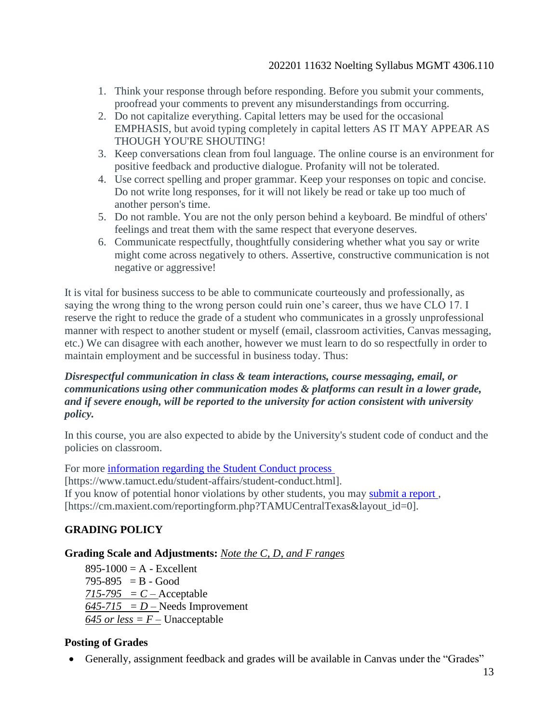- 1. Think your response through before responding. Before you submit your comments, proofread your comments to prevent any misunderstandings from occurring.
- 2. Do not capitalize everything. Capital letters may be used for the occasional EMPHASIS, but avoid typing completely in capital letters AS IT MAY APPEAR AS THOUGH YOU'RE SHOUTING!
- 3. Keep conversations clean from foul language. The online course is an environment for positive feedback and productive dialogue. Profanity will not be tolerated.
- 4. Use correct spelling and proper grammar. Keep your responses on topic and concise. Do not write long responses, for it will not likely be read or take up too much of another person's time.
- 5. Do not ramble. You are not the only person behind a keyboard. Be mindful of others' feelings and treat them with the same respect that everyone deserves.
- 6. Communicate respectfully, thoughtfully considering whether what you say or write might come across negatively to others. Assertive, constructive communication is not negative or aggressive!

It is vital for business success to be able to communicate courteously and professionally, as saying the wrong thing to the wrong person could ruin one's career, thus we have CLO 17. I reserve the right to reduce the grade of a student who communicates in a grossly unprofessional manner with respect to another student or myself (email, classroom activities, Canvas messaging, etc.) We can disagree with each another, however we must learn to do so respectfully in order to maintain employment and be successful in business today. Thus:

## *Disrespectful communication in class & team interactions, course messaging, email, or communications using other communication modes & platforms can result in a lower grade, and if severe enough, will be reported to the university for action consistent with university policy.*

In this course, you are also expected to abide by the University's student code of conduct and the policies on classroom.

For more [information regarding the Student Conduct process](https://www.tamuct.edu/student-affairs/student-conduct.html)

[https://www.tamuct.edu/student-affairs/student-conduct.html].

If you know of potential honor violations by other students, you may [submit a report](https://cm.maxient.com/reportingform.php?TAMUCentralTexas&layout_id=0) ,

[https://cm.maxient.com/reportingform.php?TAMUCentralTexas&layout\_id=0].

## **GRADING POLICY**

## **Grading Scale and Adjustments:** *Note the C, D, and F ranges*

 $895-1000 = A - Excellent$  $795-895 = B - Good$  $715-795 = C -$  Acceptable  $645-715 = D$  – Needs Improvement  $645$  or less =  $F -$  Unacceptable

## **Posting of Grades**

• Generally, assignment feedback and grades will be available in Canvas under the "Grades"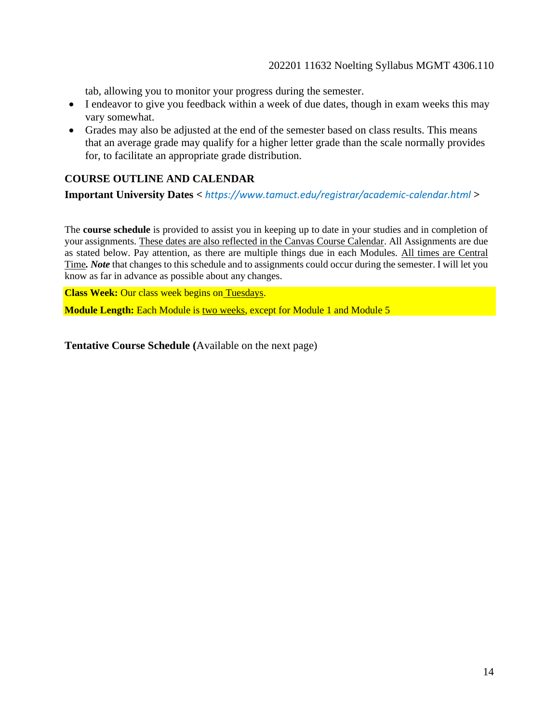tab, allowing you to monitor your progress during the semester.

- I endeavor to give you feedback within a week of due dates, though in exam weeks this may vary somewhat.
- Grades may also be adjusted at the end of the semester based on class results. This means that an average grade may qualify for a higher letter grade than the scale normally provides for, to facilitate an appropriate grade distribution.

## **COURSE OUTLINE AND CALENDAR**

**Important University Dates <** *https://www.tamuct.edu/registrar/academic-calendar.html* **>**

The **course schedule** is provided to assist you in keeping up to date in your studies and in completion of your assignments. These dates are also reflected in the Canvas Course Calendar. All Assignments are due as stated below. Pay attention, as there are multiple things due in each Modules. All times are Central Time*. Note* that changes to this schedule and to assignments could occur during the semester. I will let you know as far in advance as possible about any changes.

**Class Week:** Our class week begins on Tuesdays.

**Module Length:** Each Module is two weeks, except for Module 1 and Module 5

**Tentative Course Schedule (**Available on the next page)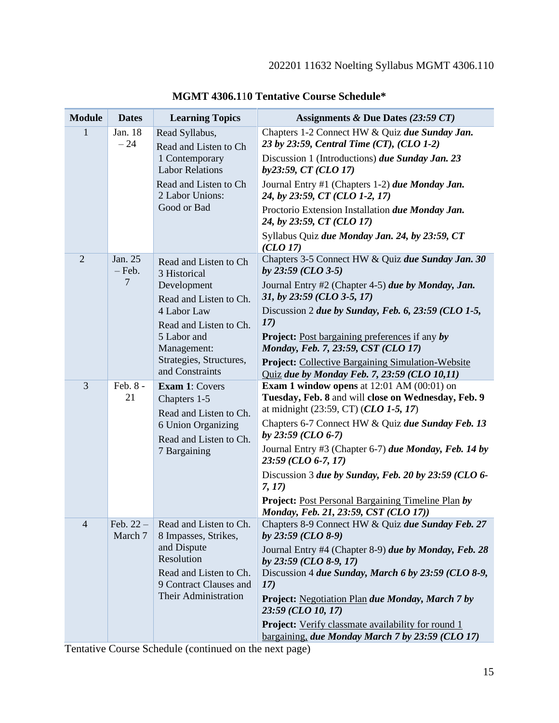| <b>Module</b>  | <b>Dates</b>          | <b>Learning Topics</b>                                                                                                                                  | Assignments & Due Dates $(23:59 \text{ } CT)$                                                                                                                          |
|----------------|-----------------------|---------------------------------------------------------------------------------------------------------------------------------------------------------|------------------------------------------------------------------------------------------------------------------------------------------------------------------------|
| $\mathbf{1}$   | Jan. 18<br>$-24$      | Read Syllabus,<br>Read and Listen to Ch<br>1 Contemporary<br><b>Labor Relations</b><br>Read and Listen to Ch<br>2 Labor Unions:<br>Good or Bad          | Chapters 1-2 Connect HW & Quiz due Sunday Jan.<br>23 by 23:59, Central Time (CT), (CLO 1-2)<br>Discussion 1 (Introductions) due Sunday Jan. 23<br>by23:59, CT (CLO 17) |
|                |                       |                                                                                                                                                         | Journal Entry #1 (Chapters 1-2) due Monday Jan.<br>24, by 23:59, CT (CLO 1-2, 17)                                                                                      |
|                |                       |                                                                                                                                                         | Proctorio Extension Installation due Monday Jan.<br>24, by 23:59, CT (CLO 17)                                                                                          |
|                |                       |                                                                                                                                                         | Syllabus Quiz due Monday Jan. 24, by 23:59, CT<br>(CLO 17)                                                                                                             |
| $\overline{2}$ | Jan. 25<br>$-$ Feb.   | Read and Listen to Ch<br>3 Historical                                                                                                                   | Chapters 3-5 Connect HW & Quiz due Sunday Jan. 30<br>by $23:59$ (CLO 3-5)                                                                                              |
|                | $\overline{7}$        | Development<br>Read and Listen to Ch.<br>4 Labor Law<br>Read and Listen to Ch.<br>5 Labor and<br>Management:                                            | Journal Entry #2 (Chapter 4-5) due by Monday, Jan.<br>31, by 23:59 (CLO 3-5, 17)                                                                                       |
|                |                       |                                                                                                                                                         | Discussion 2 due by Sunday, Feb. 6, 23:59 (CLO 1-5,<br>17)                                                                                                             |
|                |                       |                                                                                                                                                         | <b>Project:</b> Post bargaining preferences if any by<br>Monday, Feb. 7, 23:59, CST (CLO 17)                                                                           |
|                | and Constraints       | Strategies, Structures,                                                                                                                                 | <b>Project:</b> Collective Bargaining Simulation-Website<br><b>Quiz due by Monday Feb. 7, 23:59 (CLO 10,11)</b>                                                        |
| 3              | Feb. 8 -<br>21        | <b>Exam 1: Covers</b><br>Chapters 1-5<br>Read and Listen to Ch.<br>6 Union Organizing<br>Read and Listen to Ch.<br>7 Bargaining                         | <b>Exam 1 window opens</b> at $12:01$ AM $(00:01)$ on<br>Tuesday, Feb. 8 and will close on Wednesday, Feb. 9<br>at midnight (23:59, CT) (CLO 1-5, 17)                  |
|                |                       |                                                                                                                                                         | Chapters 6-7 Connect HW & Quiz due Sunday Feb. 13<br>by $23:59$ (CLO 6-7)                                                                                              |
|                |                       |                                                                                                                                                         | Journal Entry #3 (Chapter 6-7) due Monday, Feb. 14 by<br>23:59 (CLO 6-7, 17)                                                                                           |
|                |                       |                                                                                                                                                         | Discussion 3 due by Sunday, Feb. 20 by 23:59 (CLO 6-<br>7, 17)                                                                                                         |
|                |                       |                                                                                                                                                         | <b>Project:</b> Post Personal Bargaining Timeline Plan by<br>Monday, Feb. 21, 23:59, CST (CLO 17))                                                                     |
| $\overline{4}$ | Feb. $22-$<br>March 7 | Read and Listen to Ch.<br>8 Impasses, Strikes,<br>and Dispute<br>Resolution<br>Read and Listen to Ch.<br>9 Contract Clauses and<br>Their Administration | Chapters 8-9 Connect HW & Quiz due Sunday Feb. 27<br>by 23:59 (CLO 8-9)                                                                                                |
|                |                       |                                                                                                                                                         | Journal Entry #4 (Chapter 8-9) due by Monday, Feb. 28<br>by $23:59$ (CLO 8-9, 17)<br>Discussion 4 due Sunday, March 6 by 23:59 (CLO 8-9,<br><b>17</b> )                |
|                |                       |                                                                                                                                                         | <b>Project:</b> Negotiation Plan due Monday, March 7 by<br>23:59 (CLO 10, 17)                                                                                          |
|                |                       |                                                                                                                                                         | <b>Project:</b> Verify classmate availability for round 1<br>bargaining, due Monday March 7 by 23:59 (CLO 17)                                                          |

**MGMT 4306.1**1**0 Tentative Course Schedule\***

Tentative Course Schedule (continued on the next page)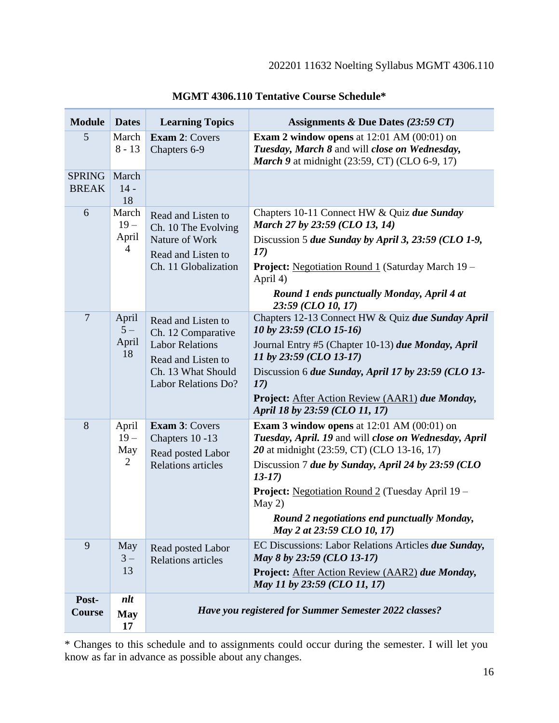| <b>Module</b>                 | <b>Dates</b>                               | <b>Learning Topics</b>                                                                                                                | Assignments & Due Dates $(23:59 \text{ } CT)$                                                                                                                                                                                                                                                                                                                                          |
|-------------------------------|--------------------------------------------|---------------------------------------------------------------------------------------------------------------------------------------|----------------------------------------------------------------------------------------------------------------------------------------------------------------------------------------------------------------------------------------------------------------------------------------------------------------------------------------------------------------------------------------|
| 5                             | March<br>$8 - 13$                          | <b>Exam 2: Covers</b><br>Chapters 6-9                                                                                                 | <b>Exam 2 window opens</b> at $12:01$ AM $(00:01)$ on<br>Tuesday, March 8 and will close on Wednesday,<br><b>March 9</b> at midnight (23:59, CT) (CLO 6-9, 17)                                                                                                                                                                                                                         |
| <b>SPRING</b><br><b>BREAK</b> | March<br>$14 -$<br>18                      |                                                                                                                                       |                                                                                                                                                                                                                                                                                                                                                                                        |
| 6                             | March<br>$19 -$<br>April<br>$\overline{4}$ | Read and Listen to<br>Ch. 10 The Evolving<br>Nature of Work<br>Read and Listen to<br>Ch. 11 Globalization                             | Chapters 10-11 Connect HW & Quiz due Sunday<br>March 27 by 23:59 (CLO 13, 14)<br>Discussion 5 due Sunday by April 3, 23:59 (CLO 1-9,<br>17)<br><b>Project:</b> Negotiation Round 1 (Saturday March 19 –<br>April 4)<br>Round 1 ends punctually Monday, April 4 at<br>23:59 (CLO 10, 17)                                                                                                |
| $\overline{7}$                | April<br>$5-$<br>April<br>18               | Read and Listen to<br>Ch. 12 Comparative<br><b>Labor Relations</b><br>Read and Listen to<br>Ch. 13 What Should<br>Labor Relations Do? | Chapters 12-13 Connect HW & Quiz due Sunday April<br>10 by 23:59 (CLO 15-16)<br>Journal Entry #5 (Chapter 10-13) due Monday, April<br>11 by 23:59 (CLO 13-17)<br>Discussion 6 due Sunday, April 17 by 23:59 (CLO 13-<br>17)<br>Project: After Action Review (AAR1) due Monday,<br>April 18 by 23:59 (CLO 11, 17)                                                                       |
| 8                             | April<br>$19 -$<br>May<br>2                | <b>Exam 3: Covers</b><br>Chapters 10-13<br>Read posted Labor<br><b>Relations</b> articles                                             | <b>Exam 3 window opens</b> at $12:01$ AM $(00:01)$ on<br>Tuesday, April. 19 and will close on Wednesday, April<br>20 at midnight (23:59, CT) (CLO 13-16, 17)<br>Discussion 7 due by Sunday, April 24 by 23:59 (CLO<br>$13-17$<br><b>Project:</b> Negotiation Round 2 (Tuesday April 19 –<br>May 2)<br><b>Round 2 negotiations end punctually Monday,</b><br>May 2 at 23:59 CLO 10, 17) |
| 9                             | May<br>$3-$<br>13                          | Read posted Labor<br><b>Relations</b> articles                                                                                        | EC Discussions: Labor Relations Articles due Sunday,<br>May 8 by 23:59 (CLO 13-17)<br>Project: After Action Review (AAR2) due Monday,<br>May 11 by 23:59 (CLO 11, 17)                                                                                                                                                                                                                  |
| Post-<br>Course               | $n$ lt<br><b>May</b><br>17                 | <b>Have you registered for Summer Semester 2022 classes?</b>                                                                          |                                                                                                                                                                                                                                                                                                                                                                                        |

**MGMT 4306.110 Tentative Course Schedule\***

\* Changes to this schedule and to assignments could occur during the semester. I will let you know as far in advance as possible about any changes.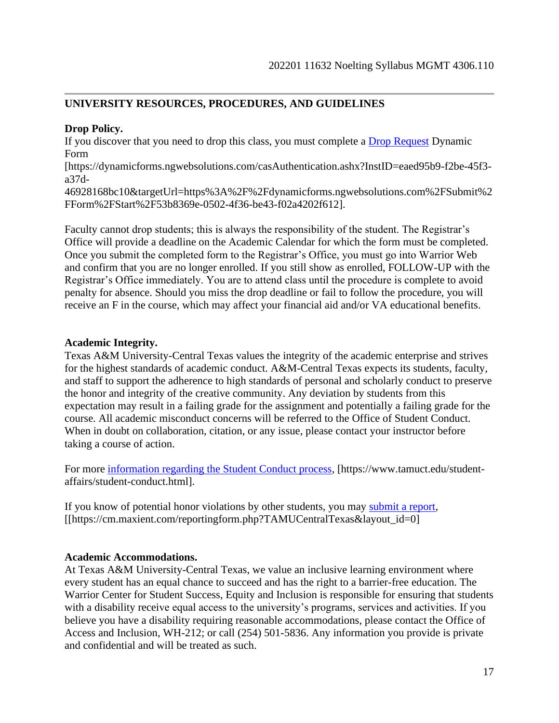## **UNIVERSITY RESOURCES, PROCEDURES, AND GUIDELINES**

### **Drop Policy.**

If you discover that you need to drop this class, you must complete a **Drop Request Dynamic** Form

[https://dynamicforms.ngwebsolutions.com/casAuthentication.ashx?InstID=eaed95b9-f2be-45f3 a37d-

46928168bc10&targetUrl=https%3A%2F%2Fdynamicforms.ngwebsolutions.com%2FSubmit%2 FForm%2FStart%2F53b8369e-0502-4f36-be43-f02a4202f612].

Faculty cannot drop students; this is always the responsibility of the student. The Registrar's Office will provide a deadline on the Academic Calendar for which the form must be completed. Once you submit the completed form to the Registrar's Office, you must go into Warrior Web and confirm that you are no longer enrolled. If you still show as enrolled, FOLLOW-UP with the Registrar's Office immediately. You are to attend class until the procedure is complete to avoid penalty for absence. Should you miss the drop deadline or fail to follow the procedure, you will receive an F in the course, which may affect your financial aid and/or VA educational benefits.

## **Academic Integrity.**

Texas A&M University-Central Texas values the integrity of the academic enterprise and strives for the highest standards of academic conduct. A&M-Central Texas expects its students, faculty, and staff to support the adherence to high standards of personal and scholarly conduct to preserve the honor and integrity of the creative community. Any deviation by students from this expectation may result in a failing grade for the assignment and potentially a failing grade for the course. All academic misconduct concerns will be referred to the Office of Student Conduct. When in doubt on collaboration, citation, or any issue, please contact your instructor before taking a course of action.

For more [information regarding the Student Conduct process,](https://www.tamuct.edu/student-affairs/student-conduct.html) [https://www.tamuct.edu/studentaffairs/student-conduct.html].

If you know of potential honor violations by other students, you may [submit a report,](https://cm.maxient.com/reportingform.php?TAMUCentralTexas&layout_id=0) [[https://cm.maxient.com/reportingform.php?TAMUCentralTexas&layout\_id=0]

#### **Academic Accommodations.**

At Texas A&M University-Central Texas, we value an inclusive learning environment where every student has an equal chance to succeed and has the right to a barrier-free education. The Warrior Center for Student Success, Equity and Inclusion is responsible for ensuring that students with a disability receive equal access to the university's programs, services and activities. If you believe you have a disability requiring reasonable accommodations, please contact the Office of Access and Inclusion, WH-212; or call (254) 501-5836. Any information you provide is private and confidential and will be treated as such.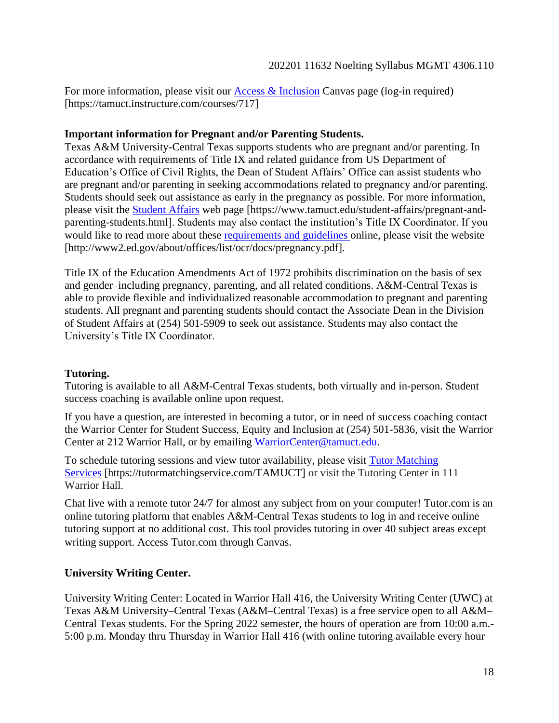For more information, please visit our [Access & Inclusion](https://tamuct.instructure.com/courses/717) Canvas page (log-in required) [https://tamuct.instructure.com/courses/717]

### **Important information for Pregnant and/or Parenting Students.**

Texas A&M University-Central Texas supports students who are pregnant and/or parenting. In accordance with requirements of Title IX and related guidance from US Department of Education's Office of Civil Rights, the Dean of Student Affairs' Office can assist students who are pregnant and/or parenting in seeking accommodations related to pregnancy and/or parenting. Students should seek out assistance as early in the pregnancy as possible. For more information, please visit the [Student Affairs](https://www.tamuct.edu/student-affairs/pregnant-and-parenting-students.html) web page [https://www.tamuct.edu/student-affairs/pregnant-andparenting-students.html]. Students may also contact the institution's Title IX Coordinator. If you would like to read more about these [requirements and guidelines](http://www2.ed.gov/about/offices/list/ocr/docs/pregnancy.pdf) online, please visit the website [http://www2.ed.gov/about/offices/list/ocr/docs/pregnancy.pdf].

Title IX of the Education Amendments Act of 1972 prohibits discrimination on the basis of sex and gender–including pregnancy, parenting, and all related conditions. A&M-Central Texas is able to provide flexible and individualized reasonable accommodation to pregnant and parenting students. All pregnant and parenting students should contact the Associate Dean in the Division of Student Affairs at (254) 501-5909 to seek out assistance. Students may also contact the University's Title IX Coordinator.

## **Tutoring.**

Tutoring is available to all A&M-Central Texas students, both virtually and in-person. Student success coaching is available online upon request.

If you have a question, are interested in becoming a tutor, or in need of success coaching contact the Warrior Center for Student Success, Equity and Inclusion at (254) 501-5836, visit the Warrior Center at 212 Warrior Hall, or by emailing [WarriorCenter@tamuct.edu.](mailto:WarriorCenter@tamuct.edu)

To schedule tutoring sessions and view tutor availability, please visit Tutor [Matching](https://tutormatchingservice.com/TAMUCT) [Services](https://tutormatchingservice.com/TAMUCT) [https://tutormatchingservice.com/TAMUCT] or visit the Tutoring Center in 111 Warrior Hall.

Chat live with a remote tutor 24/7 for almost any subject from on your computer! Tutor.com is an online tutoring platform that enables A&M-Central Texas students to log in and receive online tutoring support at no additional cost. This tool provides tutoring in over 40 subject areas except writing support. Access Tutor.com through Canvas.

## **University Writing Center.**

University Writing Center: Located in Warrior Hall 416, the University Writing Center (UWC) at Texas A&M University–Central Texas (A&M–Central Texas) is a free service open to all A&M– Central Texas students. For the Spring 2022 semester, the hours of operation are from 10:00 a.m.- 5:00 p.m. Monday thru Thursday in Warrior Hall 416 (with online tutoring available every hour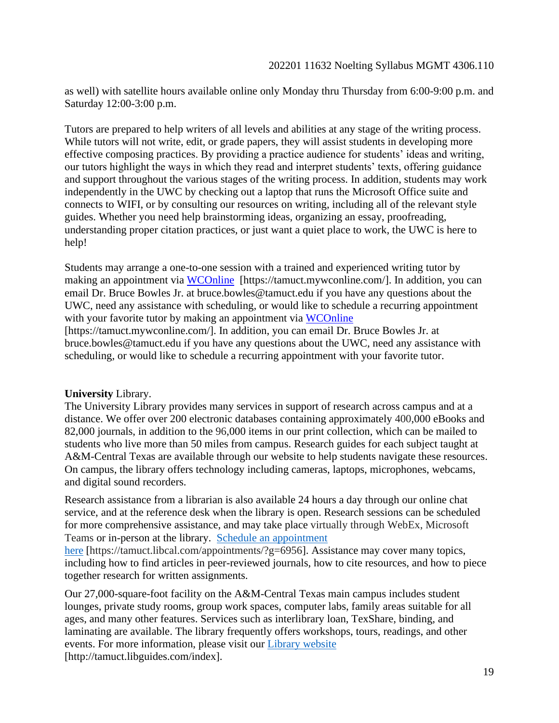as well) with satellite hours available online only Monday thru Thursday from 6:00-9:00 p.m. and Saturday 12:00-3:00 p.m.

Tutors are prepared to help writers of all levels and abilities at any stage of the writing process. While tutors will not write, edit, or grade papers, they will assist students in developing more effective composing practices. By providing a practice audience for students' ideas and writing, our tutors highlight the ways in which they read and interpret students' texts, offering guidance and support throughout the various stages of the writing process. In addition, students may work independently in the UWC by checking out a laptop that runs the Microsoft Office suite and connects to WIFI, or by consulting our resources on writing, including all of the relevant style guides. Whether you need help brainstorming ideas, organizing an essay, proofreading, understanding proper citation practices, or just want a quiet place to work, the UWC is here to help!

Students may arrange a one-to-one session with a trained and experienced writing tutor by making an appointment via [WCOnline](https://tamuct.mywconline.com/) [https://tamuct.mywconline.com/]. In addition, you can email Dr. Bruce Bowles Jr. at bruce.bowles@tamuct.edu if you have any questions about the UWC, need any assistance with scheduling, or would like to schedule a recurring appointment with your favorite tutor by making an appointment via [WCOnline](https://tamuct.mywconline.com/)

[https://tamuct.mywconline.com/]. In addition, you can email Dr. Bruce Bowles Jr. at bruce.bowles@tamuct.edu if you have any questions about the UWC, need any assistance with scheduling, or would like to schedule a recurring appointment with your favorite tutor.

#### **University** Library.

The University Library provides many services in support of research across campus and at a distance. We offer over 200 electronic databases containing approximately 400,000 eBooks and 82,000 journals, in addition to the 96,000 items in our print collection, which can be mailed to students who live more than 50 miles from campus. Research guides for each subject taught at A&M-Central Texas are available through our website to help students navigate these resources. On campus, the library offers technology including cameras, laptops, microphones, webcams, and digital sound recorders.

Research assistance from a librarian is also available 24 hours a day through our online chat service, and at the reference desk when the library is open. Research sessions can be scheduled for more comprehensive assistance, and may take place virtually through WebEx, Microsoft Teams or in-person at the library. Schedule an [appointment](https://nam04.safelinks.protection.outlook.com/?url=https%3A%2F%2Ftamuct.libcal.com%2Fappointments%2F%3Fg%3D6956&data=04%7C01%7Clisa.bunkowski%40tamuct.edu%7Cde2c07d9f5804f09518008d9ab7ba6ff%7C9eed4e3000f744849ff193ad8005acec%7C0%7C0%7C637729369835011558%7CUnknown%7CTWFpbGZsb3d8eyJWIjoiMC4wLjAwMDAiLCJQIjoiV2luMzIiLCJBTiI6Ik1haWwiLCJXVCI6Mn0%3D%7C3000&sdata=KhtjgRSAw9aq%2FoBsB6wyu8b7PSuGN5EGPypzr3Ty2No%3D&reserved=0)

[here](https://nam04.safelinks.protection.outlook.com/?url=https%3A%2F%2Ftamuct.libcal.com%2Fappointments%2F%3Fg%3D6956&data=04%7C01%7Clisa.bunkowski%40tamuct.edu%7Cde2c07d9f5804f09518008d9ab7ba6ff%7C9eed4e3000f744849ff193ad8005acec%7C0%7C0%7C637729369835011558%7CUnknown%7CTWFpbGZsb3d8eyJWIjoiMC4wLjAwMDAiLCJQIjoiV2luMzIiLCJBTiI6Ik1haWwiLCJXVCI6Mn0%3D%7C3000&sdata=KhtjgRSAw9aq%2FoBsB6wyu8b7PSuGN5EGPypzr3Ty2No%3D&reserved=0) [https://tamuct.libcal.com/appointments/?g=6956]. Assistance may cover many topics, including how to find articles in peer-reviewed journals, how to cite resources, and how to piece together research for written assignments.

Our 27,000-square-foot facility on the A&M-Central Texas main campus includes student lounges, private study rooms, group work spaces, computer labs, family areas suitable for all ages, and many other features. Services such as interlibrary loan, TexShare, binding, and laminating are available. The library frequently offers workshops, tours, readings, and other events. For more information, please visit our Library [website](https://nam04.safelinks.protection.outlook.com/?url=https%3A%2F%2Ftamuct.libguides.com%2Findex&data=04%7C01%7Clisa.bunkowski%40tamuct.edu%7C7d8489e8839a4915335f08d916f067f2%7C9eed4e3000f744849ff193ad8005acec%7C0%7C0%7C637566044056484222%7CUnknown%7CTWFpbGZsb3d8eyJWIjoiMC4wLjAwMDAiLCJQIjoiV2luMzIiLCJBTiI6Ik1haWwiLCJXVCI6Mn0%3D%7C1000&sdata=2R755V6rcIyedGrd4Os5rkgn1PvhHKU3kUV1vBKiHFo%3D&reserved=0) [http://tamuct.libguides.com/index].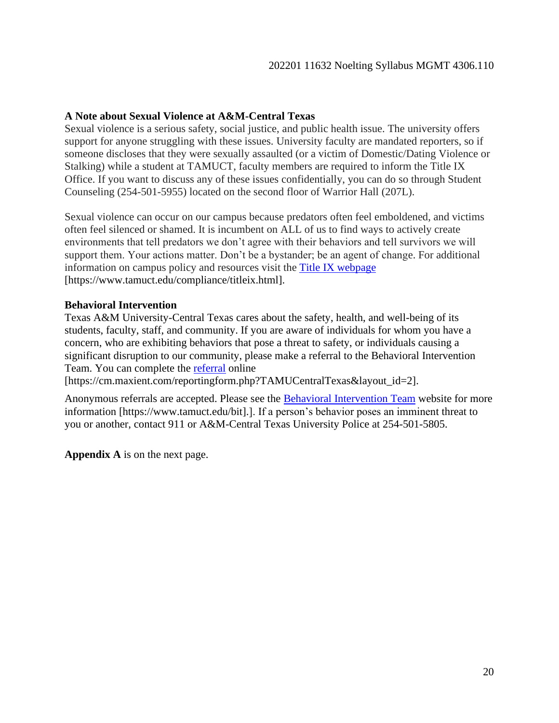## **A Note about Sexual Violence at A&M-Central Texas**

Sexual violence is a serious safety, social justice, and public health issue. The university offers support for anyone struggling with these issues. University faculty are mandated reporters, so if someone discloses that they were sexually assaulted (or a victim of Domestic/Dating Violence or Stalking) while a student at TAMUCT, faculty members are required to inform the Title IX Office. If you want to discuss any of these issues confidentially, you can do so through Student Counseling (254-501-5955) located on the second floor of Warrior Hall (207L).

Sexual violence can occur on our campus because predators often feel emboldened, and victims often feel silenced or shamed. It is incumbent on ALL of us to find ways to actively create environments that tell predators we don't agree with their behaviors and tell survivors we will support them. Your actions matter. Don't be a bystander; be an agent of change. For additional information on campus policy and resources visit the [Title IX webpage](https://www.tamuct.edu/compliance/titleix.html) [https://www.tamuct.edu/compliance/titleix.html].

#### **Behavioral Intervention**

Texas A&M University-Central Texas cares about the safety, health, and well-being of its students, faculty, staff, and community. If you are aware of individuals for whom you have a concern, who are exhibiting behaviors that pose a threat to safety, or individuals causing a significant disruption to our community, please make a referral to the Behavioral Intervention Team. You can complete the [referral](https://cm.maxient.com/reportingform.php?TAMUCentralTexas&layout_id=2) online

[https://cm.maxient.com/reportingform.php?TAMUCentralTexas&layout\_id=2].

Anonymous referrals are accepted. Please see the [Behavioral Intervention Team](https://www.tamuct.edu/bit%5d.) website for more information [https://www.tamuct.edu/bit].]. If a person's behavior poses an imminent threat to you or another, contact 911 or A&M-Central Texas University Police at 254-501-5805.

**Appendix A** is on the next page.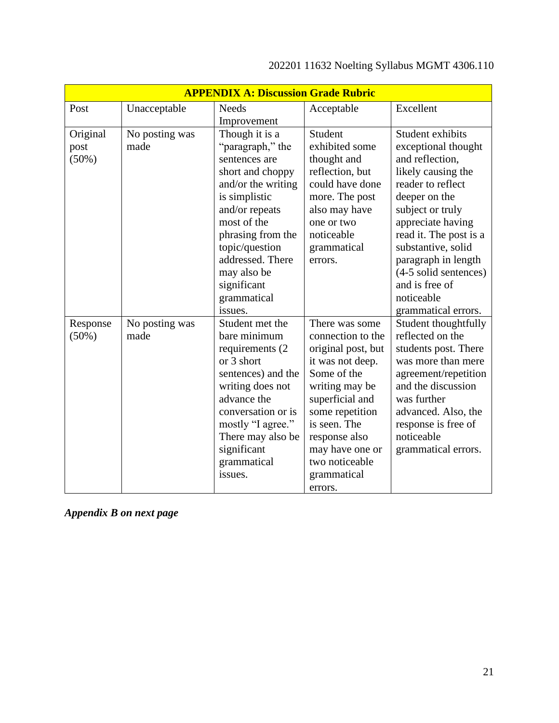| <b>APPENDIX A: Discussion Grade Rubric</b> |                        |                                                                                                                                                                                                                                                                    |                                                                                                                                                                                                                                                      |                                                                                                                                                                                                                                                                                                                        |
|--------------------------------------------|------------------------|--------------------------------------------------------------------------------------------------------------------------------------------------------------------------------------------------------------------------------------------------------------------|------------------------------------------------------------------------------------------------------------------------------------------------------------------------------------------------------------------------------------------------------|------------------------------------------------------------------------------------------------------------------------------------------------------------------------------------------------------------------------------------------------------------------------------------------------------------------------|
| Post                                       | Unacceptable           | <b>Needs</b>                                                                                                                                                                                                                                                       | Acceptable                                                                                                                                                                                                                                           | Excellent                                                                                                                                                                                                                                                                                                              |
|                                            |                        | Improvement                                                                                                                                                                                                                                                        |                                                                                                                                                                                                                                                      |                                                                                                                                                                                                                                                                                                                        |
| Original<br>post<br>(50%)                  | No posting was<br>made | Though it is a<br>"paragraph," the<br>sentences are<br>short and choppy<br>and/or the writing<br>is simplistic<br>and/or repeats<br>most of the<br>phrasing from the<br>topic/question<br>addressed. There<br>may also be<br>significant<br>grammatical<br>issues. | Student<br>exhibited some<br>thought and<br>reflection, but<br>could have done<br>more. The post<br>also may have<br>one or two<br>noticeable<br>grammatical<br>errors.                                                                              | Student exhibits<br>exceptional thought<br>and reflection,<br>likely causing the<br>reader to reflect<br>deeper on the<br>subject or truly<br>appreciate having<br>read it. The post is a<br>substantive, solid<br>paragraph in length<br>(4-5 solid sentences)<br>and is free of<br>noticeable<br>grammatical errors. |
| Response<br>(50%)                          | No posting was<br>made | Student met the<br>bare minimum<br>requirements (2)<br>or 3 short<br>sentences) and the<br>writing does not<br>advance the<br>conversation or is<br>mostly "I agree."<br>There may also be<br>significant<br>grammatical<br>issues.                                | There was some<br>connection to the<br>original post, but<br>it was not deep.<br>Some of the<br>writing may be<br>superficial and<br>some repetition<br>is seen. The<br>response also<br>may have one or<br>two noticeable<br>grammatical<br>errors. | Student thoughtfully<br>reflected on the<br>students post. There<br>was more than mere<br>agreement/repetition<br>and the discussion<br>was further<br>advanced. Also, the<br>response is free of<br>noticeable<br>grammatical errors.                                                                                 |

# 202201 11632 Noelting Syllabus MGMT 4306.110

*Appendix B on next page*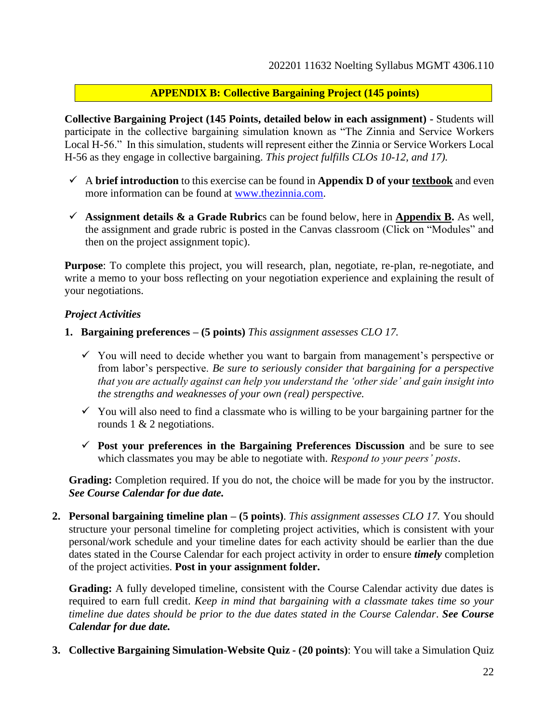## **APPENDIX B: Collective Bargaining Project (145 points)**

**Collective Bargaining Project (145 Points, detailed below in each assignment) -** Students will participate in the collective bargaining simulation known as "The Zinnia and Service Workers Local H-56." In this simulation, students will represent either the Zinnia or Service Workers Local H-56 as they engage in collective bargaining. *This project fulfills CLOs 10-12, and 17).*

- $\checkmark$  A **brief introduction** to this exercise can be found in **Appendix D of your <u>textbook</u>** and even more information can be found at [www.thezinnia.com.](http://www.thezinnia.com/)
- $\checkmark$  Assignment details  $\&$  a Grade Rubrics can be found below, here in Appendix B. As well, the assignment and grade rubric is posted in the Canvas classroom (Click on "Modules" and then on the project assignment topic).

**Purpose**: To complete this project, you will research, plan, negotiate, re-plan, re-negotiate, and write a memo to your boss reflecting on your negotiation experience and explaining the result of your negotiations.

#### *Project Activities*

- **1. Bargaining preferences – (5 points)** *This assignment assesses CLO 17.*
	- $\checkmark$  You will need to decide whether you want to bargain from management's perspective or from labor's perspective. *Be sure to seriously consider that bargaining for a perspective that you are actually against can help you understand the 'other side' and gain insight into the strengths and weaknesses of your own (real) perspective.*
	- $\checkmark$  You will also need to find a classmate who is willing to be your bargaining partner for the rounds 1 & 2 negotiations.
	- ✓ **Post your preferences in the Bargaining Preferences Discussion** and be sure to see which classmates you may be able to negotiate with. *Respond to your peers' posts*.

Grading: Completion required. If you do not, the choice will be made for you by the instructor. *See Course Calendar for due date.*

**2. Personal bargaining timeline plan – (5 points)**. *This assignment assesses CLO 17.* You should structure your personal timeline for completing project activities, which is consistent with your personal/work schedule and your timeline dates for each activity should be earlier than the due dates stated in the Course Calendar for each project activity in order to ensure *timely* completion of the project activities. **Post in your assignment folder.**

**Grading:** A fully developed timeline, consistent with the Course Calendar activity due dates is required to earn full credit. *Keep in mind that bargaining with a classmate takes time so your timeline due dates should be prior to the due dates stated in the Course Calendar*. *See Course Calendar for due date.*

**3. Collective Bargaining Simulation-Website Quiz - (20 points)**: You will take a Simulation Quiz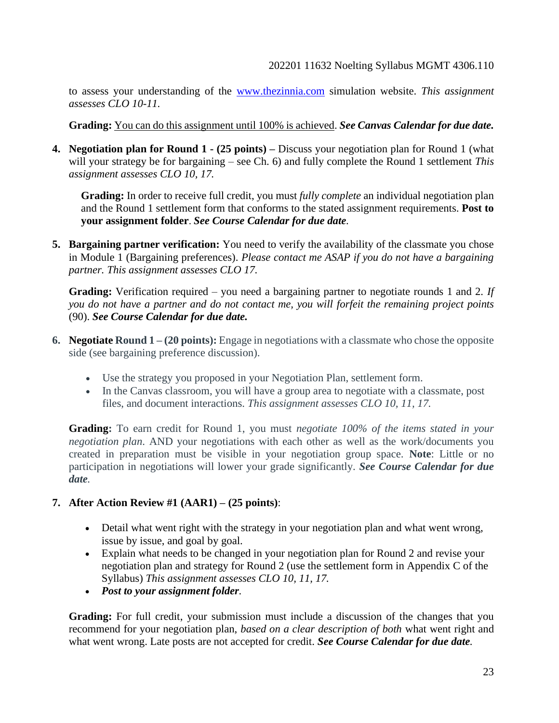to assess your understanding of the [www.thezinnia.com](http://www.thezinnia.com/) simulation website. *This assignment assesses CLO 10-11.* 

**Grading:** You can do this assignment until 100% is achieved. *See Canvas Calendar for due date.*

**4. Negotiation plan for Round 1 - (25 points) –** Discuss your negotiation plan for Round 1 (what will your strategy be for bargaining – see Ch. 6) and fully complete the Round 1 settlement *This assignment assesses CLO 10, 17.*

**Grading:** In order to receive full credit, you must *fully complete* an individual negotiation plan and the Round 1 settlement form that conforms to the stated assignment requirements. **Post to your assignment folder**. *See Course Calendar for due date.*

**5. Bargaining partner verification:** You need to verify the availability of the classmate you chose in Module 1 (Bargaining preferences). *Please contact me ASAP if you do not have a bargaining partner. This assignment assesses CLO 17.*

**Grading:** Verification required – you need a bargaining partner to negotiate rounds 1 and 2*. If you do not have a partner and do not contact me, you will forfeit the remaining project points* (90). *See Course Calendar for due date.*

- **6. Negotiate Round 1 – (20 points):** Engage in negotiations with a classmate who chose the opposite side (see bargaining preference discussion).
	- Use the strategy you proposed in your Negotiation Plan, settlement form.
	- In the Canvas classroom, you will have a group area to negotiate with a classmate, post files, and document interactions. *This assignment assesses CLO 10, 11, 17.*

**Grading:** To earn credit for Round 1, you must *negotiate 100% of the items stated in your negotiation plan*. AND your negotiations with each other as well as the work/documents you created in preparation must be visible in your negotiation group space. **Note**: Little or no participation in negotiations will lower your grade significantly. *See Course Calendar for due date.*

## **7. After Action Review #1 (AAR1) – (25 points)**:

- Detail what went right with the strategy in your negotiation plan and what went wrong, issue by issue, and goal by goal.
- Explain what needs to be changed in your negotiation plan for Round 2 and revise your negotiation plan and strategy for Round 2 (use the settlement form in Appendix C of the Syllabus) *This assignment assesses CLO 10, 11, 17.*
- *Post to your assignment folder.*

**Grading:** For full credit, your submission must include a discussion of the changes that you recommend for your negotiation plan, *based on a clear description of both* what went right and what went wrong. Late posts are not accepted for credit. *See Course Calendar for due date.*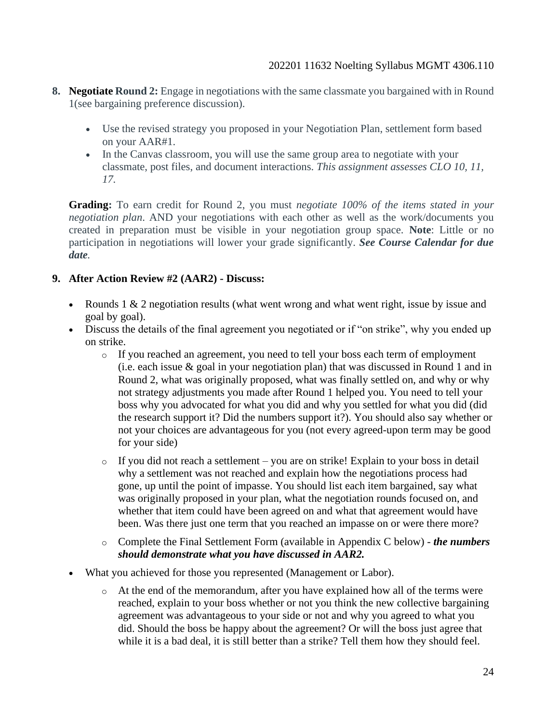- **8. Negotiate Round 2:** Engage in negotiations with the same classmate you bargained with in Round 1(see bargaining preference discussion).
	- Use the revised strategy you proposed in your Negotiation Plan, settlement form based on your AAR#1.
	- In the Canvas classroom, you will use the same group area to negotiate with your classmate, post files, and document interactions. *This assignment assesses CLO 10, 11, 17.*

**Grading:** To earn credit for Round 2, you must *negotiate 100% of the items stated in your negotiation plan*. AND your negotiations with each other as well as the work/documents you created in preparation must be visible in your negotiation group space. **Note**: Little or no participation in negotiations will lower your grade significantly. *See Course Calendar for due date.*

## **9. After Action Review #2 (AAR2) - Discuss:**

- Rounds 1 & 2 negotiation results (what went wrong and what went right, issue by issue and goal by goal).
- Discuss the details of the final agreement you negotiated or if "on strike", why you ended up on strike.
	- o If you reached an agreement, you need to tell your boss each term of employment (i.e. each issue  $\&$  goal in your negotiation plan) that was discussed in Round 1 and in Round 2, what was originally proposed, what was finally settled on, and why or why not strategy adjustments you made after Round 1 helped you. You need to tell your boss why you advocated for what you did and why you settled for what you did (did the research support it? Did the numbers support it?). You should also say whether or not your choices are advantageous for you (not every agreed-upon term may be good for your side)
	- o If you did not reach a settlement you are on strike! Explain to your boss in detail why a settlement was not reached and explain how the negotiations process had gone, up until the point of impasse. You should list each item bargained, say what was originally proposed in your plan, what the negotiation rounds focused on, and whether that item could have been agreed on and what that agreement would have been. Was there just one term that you reached an impasse on or were there more?
	- o Complete the Final Settlement Form (available in Appendix C below) *the numbers should demonstrate what you have discussed in AAR2.*
- What you achieved for those you represented (Management or Labor).
	- o At the end of the memorandum, after you have explained how all of the terms were reached, explain to your boss whether or not you think the new collective bargaining agreement was advantageous to your side or not and why you agreed to what you did. Should the boss be happy about the agreement? Or will the boss just agree that while it is a bad deal, it is still better than a strike? Tell them how they should feel.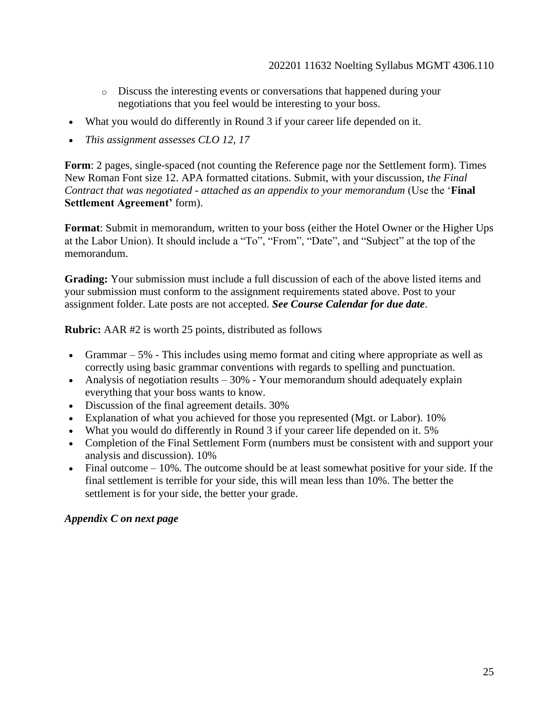- o Discuss the interesting events or conversations that happened during your negotiations that you feel would be interesting to your boss.
- What you would do differently in Round 3 if your career life depended on it.
- *This assignment assesses CLO 12, 17*

**Form**: 2 pages, single-spaced (not counting the Reference page nor the Settlement form). Times New Roman Font size 12. APA formatted citations. Submit, with your discussion, t*he Final Contract that was negotiated - attached as an appendix to your memorandum* (Use the '**Final Settlement Agreement'** form).

**Format**: Submit in memorandum, written to your boss (either the Hotel Owner or the Higher Ups at the Labor Union). It should include a "To", "From", "Date", and "Subject" at the top of the memorandum.

**Grading:** Your submission must include a full discussion of each of the above listed items and your submission must conform to the assignment requirements stated above. Post to your assignment folder. Late posts are not accepted. *See Course Calendar for due date*.

**Rubric:** AAR #2 is worth 25 points, distributed as follows

- Grammar 5% This includes using memo format and citing where appropriate as well as correctly using basic grammar conventions with regards to spelling and punctuation.
- Analysis of negotiation results  $-30\%$  Your memorandum should adequately explain everything that your boss wants to know.
- Discussion of the final agreement details. 30%
- Explanation of what you achieved for those you represented (Mgt. or Labor). 10%
- What you would do differently in Round 3 if your career life depended on it. 5%
- Completion of the Final Settlement Form (numbers must be consistent with and support your analysis and discussion). 10%
- Final outcome 10%. The outcome should be at least somewhat positive for your side. If the final settlement is terrible for your side, this will mean less than 10%. The better the settlement is for your side, the better your grade.

#### *Appendix C on next page*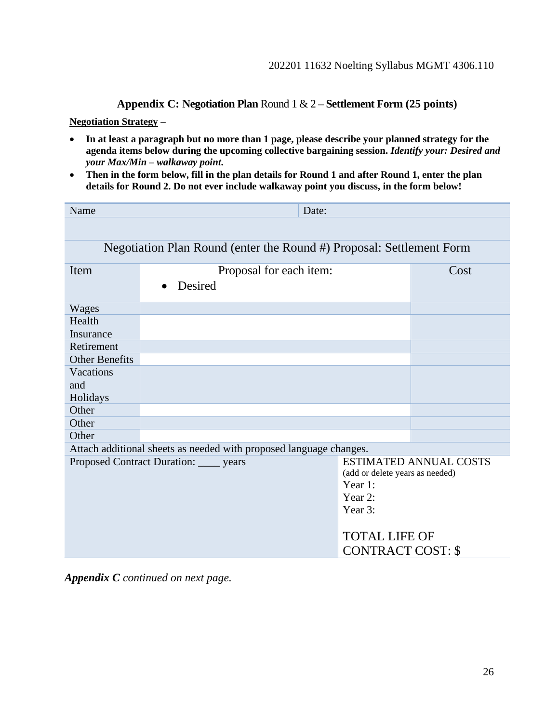**Appendix C: Negotiation Plan** Round 1 & 2 **– Settlement Form (25 points)**

**Negotiation Strategy –**

- **In at least a paragraph but no more than 1 page, please describe your planned strategy for the agenda items below during the upcoming collective bargaining session.** *Identify your: Desired and your Max/Min – walkaway point***.**
- **Then in the form below, fill in the plan details for Round 1 and after Round 1, enter the plan details for Round 2. Do not ever include walkaway point you discuss, in the form below!**

| Name                  | Date:                                                                |                                 |                               |  |  |
|-----------------------|----------------------------------------------------------------------|---------------------------------|-------------------------------|--|--|
|                       |                                                                      |                                 |                               |  |  |
|                       | Negotiation Plan Round (enter the Round #) Proposal: Settlement Form |                                 |                               |  |  |
| Item                  | Proposal for each item:                                              |                                 | Cost                          |  |  |
|                       | Desired                                                              |                                 |                               |  |  |
| Wages                 |                                                                      |                                 |                               |  |  |
| Health                |                                                                      |                                 |                               |  |  |
| Insurance             |                                                                      |                                 |                               |  |  |
| Retirement            |                                                                      |                                 |                               |  |  |
| <b>Other Benefits</b> |                                                                      |                                 |                               |  |  |
| Vacations             |                                                                      |                                 |                               |  |  |
| and                   |                                                                      |                                 |                               |  |  |
| Holidays              |                                                                      |                                 |                               |  |  |
| Other                 |                                                                      |                                 |                               |  |  |
| Other                 |                                                                      |                                 |                               |  |  |
| Other                 |                                                                      |                                 |                               |  |  |
|                       | Attach additional sheets as needed with proposed language changes.   |                                 |                               |  |  |
|                       | Proposed Contract Duration: _____ years                              |                                 | <b>ESTIMATED ANNUAL COSTS</b> |  |  |
|                       |                                                                      | (add or delete years as needed) |                               |  |  |
|                       |                                                                      | Year 1:                         |                               |  |  |
|                       |                                                                      | Year 2:                         |                               |  |  |
|                       |                                                                      | Year 3:                         |                               |  |  |
|                       |                                                                      | <b>TOTAL LIFE OF</b>            |                               |  |  |
|                       |                                                                      | <b>CONTRACT COST: \$</b>        |                               |  |  |
|                       |                                                                      |                                 |                               |  |  |

*Appendix C continued on next page.*